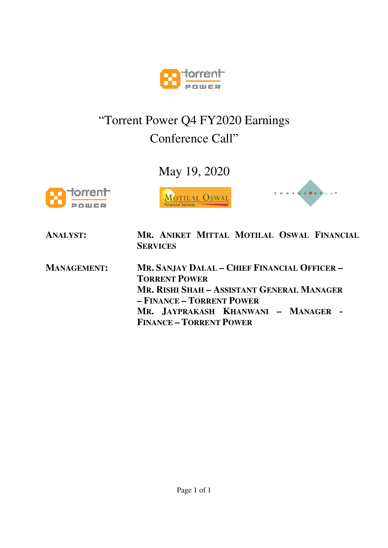

# "Torrent Power Q4 FY2020 Earnings Conference Call"

# May 19, 2020





**ANALYST: MR. ANIKET MITTAL MOTILAL OSWAL FINANCIAL SERVICES MANAGEMENT: MR. SANJAY DALAL – CHIEF FINANCIAL OFFICER – TORRENT POWER MR. RISHI SHAH – ASSISTANT GENERAL MANAGER – FINANCE – TORRENT POWER MR. JAYPRAKASH KHANWANI – MANAGER - FINANCE – TORRENT POWER**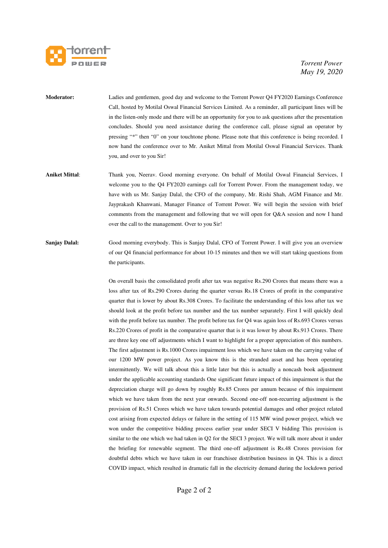

- **Moderator:** Ladies and gentlemen, good day and welcome to the Torrent Power Q4 FY2020 Earnings Conference Call, hosted by Motilal Oswal Financial Services Limited. As a reminder, all participant lines will be in the listen-only mode and there will be an opportunity for you to ask questions after the presentation concludes. Should you need assistance during the conference call, please signal an operator by pressing "\*" then "0" on your touchtone phone. Please note that this conference is being recorded. I now hand the conference over to Mr. Aniket Mittal from Motilal Oswal Financial Services. Thank you, and over to you Sir!
- **Aniket Mittal**: Thank you, Neerav. Good morning everyone. On behalf of Motilal Oswal Financial Services, I welcome you to the Q4 FY2020 earnings call for Torrent Power. From the management today, we have with us Mr. Sanjay Dalal, the CFO of the company, Mr. Rishi Shah, AGM Finance and Mr. Jayprakash Khanwani, Manager Finance of Torrent Power. We will begin the session with brief comments from the management and following that we will open for Q&A session and now I hand over the call to the management. Over to you Sir!
- **Sanjay Dalal:** Good morning everybody. This is Sanjay Dalal, CFO of Torrent Power. I will give you an overview of our Q4 financial performance for about 10-15 minutes and then we will start taking questions from the participants.

On overall basis the consolidated profit after tax was negative Rs.290 Crores that means there was a loss after tax of Rs.290 Crores during the quarter versus Rs.18 Crores of profit in the comparative quarter that is lower by about Rs.308 Crores. To facilitate the understanding of this loss after tax we should look at the profit before tax number and the tax number separately. First I will quickly deal with the profit before tax number. The profit before tax for Q4 was again loss of Rs.693 Crores versus Rs.220 Crores of profit in the comparative quarter that is it was lower by about Rs.913 Crores. There are three key one off adjustments which I want to highlight for a proper appreciation of this numbers. The first adjustment is Rs.1000 Crores impairment loss which we have taken on the carrying value of our 1200 MW power project. As you know this is the stranded asset and has been operating intermittently. We will talk about this a little later but this is actually a noncash book adjustment under the applicable accounting standards One significant future impact of this impairment is that the depreciation charge will go down by roughly Rs.85 Crores per annum because of this impairment which we have taken from the next year onwards. Second one-off non-recurring adjustment is the provision of Rs.51 Crores which we have taken towards potential damages and other project related cost arising from expected delays or failure in the setting of 115 MW wind power project, which we won under the competitive bidding process earlier year under SECI V bidding This provision is similar to the one which we had taken in Q2 for the SECI 3 project. We will talk more about it under the briefing for renewable segment. The third one-off adjustment is Rs.48 Crores provision for doubtful debts which we have taken in our franchisee distribution business in Q4. This is a direct COVID impact, which resulted in dramatic fall in the electricity demand during the lockdown period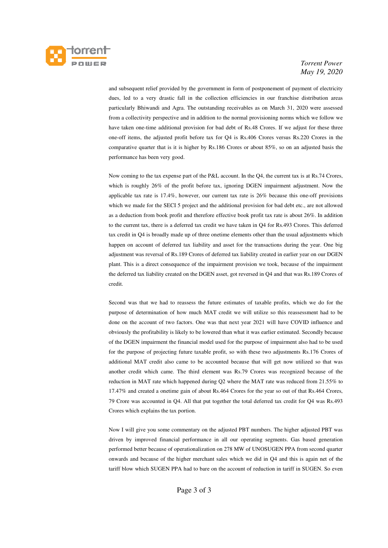

and subsequent relief provided by the government in form of postponement of payment of electricity dues, led to a very drastic fall in the collection efficiencies in our franchise distribution areas particularly Bhiwandi and Agra. The outstanding receivables as on March 31, 2020 were assessed from a collectivity perspective and in addition to the normal provisioning norms which we follow we have taken one-time additional provision for bad debt of Rs.48 Crores. If we adjust for these three one-off items, the adjusted profit before tax for Q4 is Rs.406 Crores versus Rs.220 Crores in the comparative quarter that is it is higher by Rs.186 Crores or about 85%, so on an adjusted basis the performance has been very good.

Now coming to the tax expense part of the P&L account. In the Q4, the current tax is at Rs.74 Crores, which is roughly 26% of the profit before tax, ignoring DGEN impairment adjustment. Now the applicable tax rate is 17.4%, however, our current tax rate is 26% because this one-off provisions which we made for the SECI 5 project and the additional provision for bad debt etc., are not allowed as a deduction from book profit and therefore effective book profit tax rate is about 26%. In addition to the current tax, there is a deferred tax credit we have taken in Q4 for Rs.493 Crores. This deferred tax credit in Q4 is broadly made up of three onetime elements other than the usual adjustments which happen on account of deferred tax liability and asset for the transactions during the year. One big adjustment was reversal of Rs.189 Crores of deferred tax liability created in earlier year on our DGEN plant. This is a direct consequence of the impairment provision we took, because of the impairment the deferred tax liability created on the DGEN asset, got reversed in Q4 and that was Rs.189 Crores of credit.

Second was that we had to reassess the future estimates of taxable profits, which we do for the purpose of determination of how much MAT credit we will utilize so this reassessment had to be done on the account of two factors. One was that next year 2021 will have COVID influence and obviously the profitability is likely to be lowered than what it was earlier estimated. Secondly because of the DGEN impairment the financial model used for the purpose of impairment also had to be used for the purpose of projecting future taxable profit, so with these two adjustments Rs.176 Crores of additional MAT credit also came to be accounted because that will get now utilized so that was another credit which came. The third element was Rs.79 Crores was recognized because of the reduction in MAT rate which happened during Q2 where the MAT rate was reduced from 21.55% to 17.47% and created a onetime gain of about Rs.464 Crores for the year so out of that Rs.464 Crores, 79 Crore was accounted in Q4. All that put together the total deferred tax credit for Q4 was Rs.493 Crores which explains the tax portion.

Now I will give you some commentary on the adjusted PBT numbers. The higher adjusted PBT was driven by improved financial performance in all our operating segments. Gas based generation performed better because of operationalization on 278 MW of UNOSUGEN PPA from second quarter onwards and because of the higher merchant sales which we did in Q4 and this is again net of the tariff blow which SUGEN PPA had to bare on the account of reduction in tariff in SUGEN. So even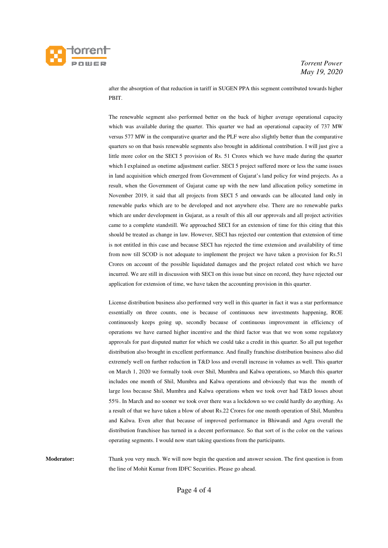

after the absorption of that reduction in tariff in SUGEN PPA this segment contributed towards higher PBIT.

 The renewable segment also performed better on the back of higher average operational capacity which was available during the quarter. This quarter we had an operational capacity of 737 MW versus 577 MW in the comparative quarter and the PLF were also slightly better than the comparative quarters so on that basis renewable segments also brought in additional contribution. I will just give a little more color on the SECI 5 provision of Rs. 51 Crores which we have made during the quarter which I explained as onetime adjustment earlier. SECI 5 project suffered more or less the same issues in land acquisition which emerged from Government of Gujarat's land policy for wind projects. As a result, when the Government of Gujarat came up with the new land allocation policy sometime in November 2019, it said that all projects from SECI 5 and onwards can be allocated land only in renewable parks which are to be developed and not anywhere else. There are no renewable parks which are under development in Gujarat, as a result of this all our approvals and all project activities came to a complete standstill. We approached SECI for an extension of time for this citing that this should be treated as change in law. However, SECI has rejected our contention that extension of time is not entitled in this case and because SECI has rejected the time extension and availability of time from now till SCOD is not adequate to implement the project we have taken a provision for Rs.51 Crores on account of the possible liquidated damages and the project related cost which we have incurred. We are still in discussion with SECI on this issue but since on record, they have rejected our application for extension of time, we have taken the accounting provision in this quarter.

License distribution business also performed very well in this quarter in fact it was a star performance essentially on three counts, one is because of continuous new investments happening, ROE continuously keeps going up, secondly because of continuous improvement in efficiency of operations we have earned higher incentive and the third factor was that we won some regulatory approvals for past disputed matter for which we could take a credit in this quarter. So all put together distribution also brought in excellent performance. And finally franchise distribution business also did extremely well on further reduction in T&D loss and overall increase in volumes as well. This quarter on March 1, 2020 we formally took over Shil, Mumbra and Kalwa operations, so March this quarter includes one month of Shil, Mumbra and Kalwa operations and obviously that was the month of large loss because Shil, Mumbra and Kalwa operations when we took over had T&D losses about 55%. In March and no sooner we took over there was a lockdown so we could hardly do anything. As a result of that we have taken a blow of about Rs.22 Crores for one month operation of Shil, Mumbra and Kalwa. Even after that because of improved performance in Bhiwandi and Agra overall the distribution franchisee has turned in a decent performance. So that sort of is the color on the various operating segments. I would now start taking questions from the participants.

**Moderator:** Thank you very much. We will now begin the question and answer session. The first question is from the line of Mohit Kumar from IDFC Securities. Please go ahead.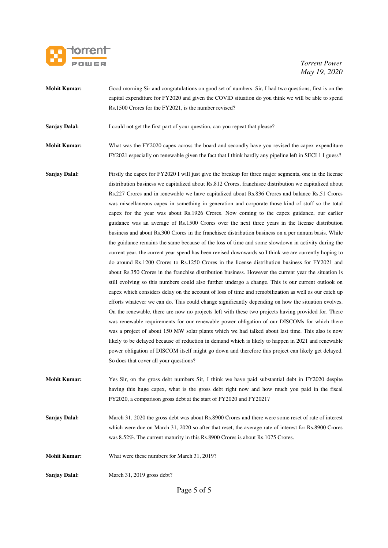

**Mohit Kumar:** Good morning Sir and congratulations on good set of numbers. Sir, I had two questions, first is on the capital expenditure for FY2020 and given the COVID situation do you think we will be able to spend Rs.1500 Crores for the FY2021, is the number revised?

**Sanjay Dalal:** I could not get the first part of your question, can you repeat that please?

**Mohit Kumar:** What was the FY2020 capex across the board and secondly have you revised the capex expenditure FY2021 especially on renewable given the fact that I think hardly any pipeline left in SECI 1 I guess?

- **Sanjay Dalal:** Firstly the capex for FY2020 I will just give the breakup for three major segments, one in the license distribution business we capitalized about Rs.812 Crores, franchisee distribution we capitalized about Rs.227 Crores and in renewable we have capitalized about Rs.836 Crores and balance Rs.51 Crores was miscellaneous capex in something in generation and corporate those kind of stuff so the total capex for the year was about Rs.1926 Crores. Now coming to the capex guidance, our earlier guidance was an average of Rs.1500 Crores over the next three years in the license distribution business and about Rs.300 Crores in the franchisee distribution business on a per annum basis. While the guidance remains the same because of the loss of time and some slowdown in activity during the current year, the current year spend has been revised downwards so I think we are currently hoping to do around Rs.1200 Crores to Rs.1250 Crores in the license distribution business for FY2021 and about Rs.350 Crores in the franchise distribution business. However the current year the situation is still evolving so this numbers could also further undergo a change. This is our current outlook on capex which considers delay on the account of loss of time and remobilization as well as our catch up efforts whatever we can do. This could change significantly depending on how the situation evolves. On the renewable, there are now no projects left with these two projects having provided for. There was renewable requirements for our renewable power obligation of our DISCOMs for which there was a project of about 150 MW solar plants which we had talked about last time. This also is now likely to be delayed because of reduction in demand which is likely to happen in 2021 and renewable power obligation of DISCOM itself might go down and therefore this project can likely get delayed. So does that cover all your questions?
- **Mohit Kumar:** Yes Sir, on the gross debt numbers Sir, I think we have paid substantial debt in FY2020 despite having this huge capex, what is the gross debt right now and how much you paid in the fiscal FY2020, a comparison gross debt at the start of FY2020 and FY2021?
- **Sanjay Dalal:** March 31, 2020 the gross debt was about Rs.8900 Crores and there were some reset of rate of interest which were due on March 31, 2020 so after that reset, the average rate of interest for Rs.8900 Crores was 8.52%. The current maturity in this Rs.8900 Crores is about Rs.1075 Crores.
- **Mohit Kumar:** What were these numbers for March 31, 2019?

**Sanjay Dalal:** March 31, 2019 gross debt?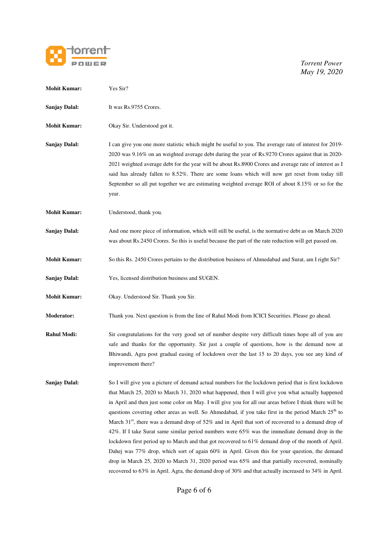

| <b>Mohit Kumar:</b>  | Yes Sir?                                                                                                                                                                                                                                                                                                                                                                                                                                                                                                                                                                                                                                                                                                                                                                                                                                                                                                                                                                                                                                                                        |
|----------------------|---------------------------------------------------------------------------------------------------------------------------------------------------------------------------------------------------------------------------------------------------------------------------------------------------------------------------------------------------------------------------------------------------------------------------------------------------------------------------------------------------------------------------------------------------------------------------------------------------------------------------------------------------------------------------------------------------------------------------------------------------------------------------------------------------------------------------------------------------------------------------------------------------------------------------------------------------------------------------------------------------------------------------------------------------------------------------------|
| <b>Sanjay Dalal:</b> | It was Rs.9755 Crores.                                                                                                                                                                                                                                                                                                                                                                                                                                                                                                                                                                                                                                                                                                                                                                                                                                                                                                                                                                                                                                                          |
| <b>Mohit Kumar:</b>  | Okay Sir. Understood got it.                                                                                                                                                                                                                                                                                                                                                                                                                                                                                                                                                                                                                                                                                                                                                                                                                                                                                                                                                                                                                                                    |
| <b>Sanjay Dalal:</b> | I can give you one more statistic which might be useful to you. The average rate of interest for 2019-<br>2020 was 9.16% on an weighted average debt during the year of Rs.9270 Crores against that in 2020-<br>2021 weighted average debt for the year will be about Rs.8900 Crores and average rate of interest as I<br>said has already fallen to 8.52%. There are some loans which will now get reset from today till<br>September so all put together we are estimating weighted average ROI of about 8.15% or so for the<br>year.                                                                                                                                                                                                                                                                                                                                                                                                                                                                                                                                         |
| <b>Mohit Kumar:</b>  | Understood, thank you.                                                                                                                                                                                                                                                                                                                                                                                                                                                                                                                                                                                                                                                                                                                                                                                                                                                                                                                                                                                                                                                          |
| <b>Sanjay Dalal:</b> | And one more piece of information, which will still be useful, is the normative debt as on March 2020<br>was about Rs.2450 Crores. So this is useful because the part of the rate reduction will get passed on.                                                                                                                                                                                                                                                                                                                                                                                                                                                                                                                                                                                                                                                                                                                                                                                                                                                                 |
| <b>Mohit Kumar:</b>  | So this Rs. 2450 Crores pertains to the distribution business of Ahmedabad and Surat, am I right Sir?                                                                                                                                                                                                                                                                                                                                                                                                                                                                                                                                                                                                                                                                                                                                                                                                                                                                                                                                                                           |
| <b>Sanjay Dalal:</b> | Yes, licensed distribution business and SUGEN.                                                                                                                                                                                                                                                                                                                                                                                                                                                                                                                                                                                                                                                                                                                                                                                                                                                                                                                                                                                                                                  |
| <b>Mohit Kumar:</b>  | Okay. Understood Sir. Thank you Sir.                                                                                                                                                                                                                                                                                                                                                                                                                                                                                                                                                                                                                                                                                                                                                                                                                                                                                                                                                                                                                                            |
| Moderator:           | Thank you. Next question is from the line of Rahul Modi from ICICI Securities. Please go ahead.                                                                                                                                                                                                                                                                                                                                                                                                                                                                                                                                                                                                                                                                                                                                                                                                                                                                                                                                                                                 |
| <b>Rahul Modi:</b>   | Sir congratulations for the very good set of number despite very difficult times hope all of you are<br>safe and thanks for the opportunity. Sir just a couple of questions, how is the demand now at<br>Bhiwandi, Agra post gradual easing of lockdown over the last 15 to 20 days, you see any kind of<br>improvement there?                                                                                                                                                                                                                                                                                                                                                                                                                                                                                                                                                                                                                                                                                                                                                  |
| <b>Sanjay Dalal:</b> | So I will give you a picture of demand actual numbers for the lockdown period that is first lockdown<br>that March 25, 2020 to March 31, 2020 what happened, then I will give you what actually happened<br>in April and then just some color on May. I will give you for all our areas before I think there will be<br>questions covering other areas as well. So Ahmedabad, if you take first in the period March 25 <sup>th</sup> to<br>March 31 <sup>st</sup> , there was a demand drop of 52% and in April that sort of recovered to a demand drop of<br>42%. If I take Surat same similar period numbers were 65% was the immediate demand drop in the<br>lockdown first period up to March and that got recovered to 61% demand drop of the month of April.<br>Dahej was 77% drop, which sort of again 60% in April. Given this for your question, the demand<br>drop in March 25, 2020 to March 31, 2020 period was 65% and that partially recovered, nominally<br>recovered to 63% in April. Agra, the demand drop of 30% and that actually increased to 34% in April. |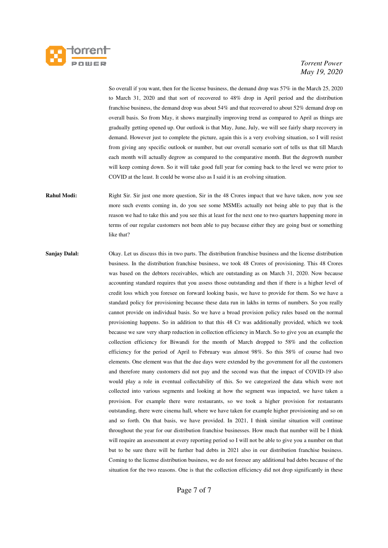

So overall if you want, then for the license business, the demand drop was 57% in the March 25, 2020 to March 31, 2020 and that sort of recovered to 48% drop in April period and the distribution franchise business, the demand drop was about 54% and that recovered to about 52% demand drop on overall basis. So from May, it shows marginally improving trend as compared to April as things are gradually getting opened up. Our outlook is that May, June, July, we will see fairly sharp recovery in demand. However just to complete the picture, again this is a very evolving situation, so I will resist from giving any specific outlook or number, but our overall scenario sort of tells us that till March each month will actually degrow as compared to the comparative month. But the degrowth number will keep coming down. So it will take good full year for coming back to the level we were prior to COVID at the least. It could be worse also as I said it is an evolving situation.

- **Rahul Modi:** Right Sir. Sir just one more question, Sir in the 48 Crores impact that we have taken, now you see more such events coming in, do you see some MSMEs actually not being able to pay that is the reason we had to take this and you see this at least for the next one to two quarters happening more in terms of our regular customers not been able to pay because either they are going bust or something like that?
- **Sanjay Dalal:** Okay. Let us discuss this in two parts. The distribution franchise business and the license distribution business. In the distribution franchise business, we took 48 Crores of provisioning. This 48 Crores was based on the debtors receivables, which are outstanding as on March 31, 2020. Now because accounting standard requires that you assess those outstanding and then if there is a higher level of credit loss which you foresee on forward looking basis, we have to provide for them. So we have a standard policy for provisioning because these data run in lakhs in terms of numbers. So you really cannot provide on individual basis. So we have a broad provision policy rules based on the normal provisioning happens. So in addition to that this 48 Cr was additionally provided, which we took because we saw very sharp reduction in collection efficiency in March. So to give you an example the collection efficiency for Biwandi for the month of March dropped to 58% and the collection efficiency for the period of April to February was almost 98%. So this 58% of course had two elements. One element was that the due days were extended by the government for all the customers and therefore many customers did not pay and the second was that the impact of COVID-19 also would play a role in eventual collectability of this. So we categorized the data which were not collected into various segments and looking at how the segment was impacted, we have taken a provision. For example there were restaurants, so we took a higher provision for restaurants outstanding, there were cinema hall, where we have taken for example higher provisioning and so on and so forth. On that basis, we have provided. In 2021, I think similar situation will continue throughout the year for our distribution franchise businesses. How much that number will be I think will require an assessment at every reporting period so I will not be able to give you a number on that but to be sure there will be further bad debts in 2021 also in our distribution franchise business. Coming to the license distribution business, we do not foresee any additional bad debts because of the situation for the two reasons. One is that the collection efficiency did not drop significantly in these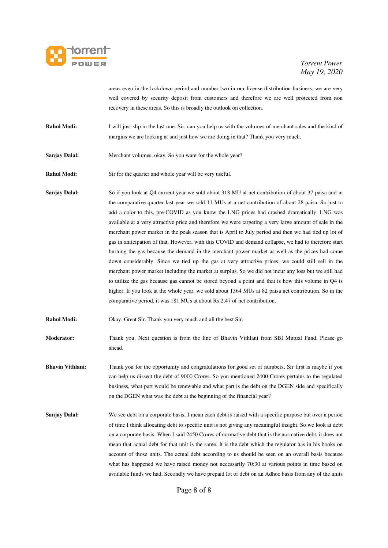

areas even in the lockdown period and number two in our license distribution business, we are very well covered by security deposit from customers and therefore we are well protected from non recovery in these areas. So this is broadly the outlook on collection.

- **Rahul Modi:** I will just slip in the last one. Sir, can you help us with the volumes of merchant sales and the kind of margins we are looking at and just how we are doing in that? Thank you very much.
- **Sanjay Dalal:** Merchant volumes, okay. So you want for the whole year?
- **Rahul Modi:** Sir for the quarter and whole year will be very useful.

**Sanjay Dalal:** So if you look at Q4 current year we sold about 318 MU at net contribution of about 37 paisa and in the comparative quarter last year we sold 11 MUs at a net contribution of about 28 paisa. So just to add a color to this, pre-COVID as you know the LNG prices had crashed dramatically. LNG was available at a very attractive price and therefore we were targeting a very large amount of sale in the merchant power market in the peak season that is April to July period and then we had tied up lot of gas in anticipation of that. However, with this COVID and demand collapse, we had to therefore start burning the gas because the demand in the merchant power market as well as the prices had come down considerably. Since we tied up the gas at very attractive prices, we could still sell in the merchant power market including the market at surplus. So we did not incur any loss but we still had to utilize the gas because gas cannot be stored beyond a point and that is how this volume in Q4 is higher. If you look at the whole year, we sold about 1364 MUs at 82 paisa net contribution. So in the comparative period, it was 181 MUs at about Rs.2.47 of net contribution.

**Rahul Modi:** Okay. Great Sir. Thank you very much and all the best Sir.

**Moderator:** Thank you. Next question is from the line of Bhavin Vithlani from SBI Mutual Fund. Please go ahead.

**Bhavin Vithlani:** Thank you for the opportunity and congratulations for good set of numbers. Sir first is maybe if you can help us dissect the debt of 9000 Crores. So you mentioned 2400 Crores pertains to the regulated business, what part would be renewable and what part is the debt on the DGEN side and specifically on the DGEN what was the debt at the beginning of the financial year?

**Sanjay Dalal:** We see debt on a corporate basis, I mean each debt is raised with a specific purpose but over a period of time I think allocating debt to specific unit is not giving any meaningful insight. So we look at debt on a corporate basis. When I said 2450 Crores of normative debt that is the normative debt, it does not mean that actual debt for that unit is the same. It is the debt which the regulator has in his books on account of those units. The actual debt according to us should be seen on an overall basis because what has happened we have raised money not necessarily 70:30 at various points in time based on available funds we had. Secondly we have prepaid lot of debt on an Adhoc basis from any of the units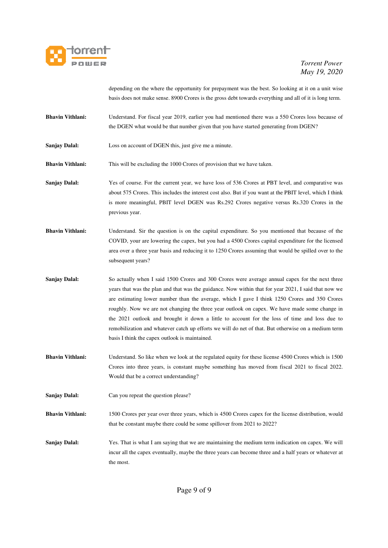

depending on the where the opportunity for prepayment was the best. So looking at it on a unit wise basis does not make sense. 8900 Crores is the gross debt towards everything and all of it is long term.

- **Bhavin Vithlani:** Understand. For fiscal year 2019, earlier you had mentioned there was a 550 Crores loss because of the DGEN what would be that number given that you have started generating from DGEN?
- **Sanjay Dalal:** Loss on account of DGEN this, just give me a minute.

**Bhavin Vithlani:** This will be excluding the 1000 Crores of provision that we have taken.

- **Sanjay Dalal:** Yes of course. For the current year, we have loss of 536 Crores at PBT level, and comparative was about 575 Crores. This includes the interest cost also. But if you want at the PBIT level, which I think is more meaningful, PBIT level DGEN was Rs.292 Crores negative versus Rs.320 Crores in the previous year.
- **Bhavin Vithlani:** Understand. Sir the question is on the capital expenditure. So you mentioned that because of the COVID, your are lowering the capex, but you had a 4500 Crores capital expenditure for the licensed area over a three year basis and reducing it to 1250 Crores assuming that would be spilled over to the subsequent years?
- **Sanjay Dalal:** So actually when I said 1500 Crores and 300 Crores were average annual capex for the next three years that was the plan and that was the guidance. Now within that for year 2021, I said that now we are estimating lower number than the average, which I gave I think 1250 Crores and 350 Crores roughly. Now we are not changing the three year outlook on capex. We have made some change in the 2021 outlook and brought it down a little to account for the loss of time and loss due to remobilization and whatever catch up efforts we will do net of that. But otherwise on a medium term basis I think the capex outlook is maintained.
- **Bhavin Vithlani:** Understand. So like when we look at the regulated equity for these license 4500 Crores which is 1500 Crores into three years, is constant maybe something has moved from fiscal 2021 to fiscal 2022. Would that be a correct understanding?
- **Sanjay Dalal:** Can you repeat the question please?
- **Bhavin Vithlani:** 1500 Crores per year over three years, which is 4500 Crores capex for the license distribution, would that be constant maybe there could be some spillover from 2021 to 2022?

**Sanjay Dalal:** Yes. That is what I am saying that we are maintaining the medium term indication on capex. We will incur all the capex eventually, maybe the three years can become three and a half years or whatever at the most.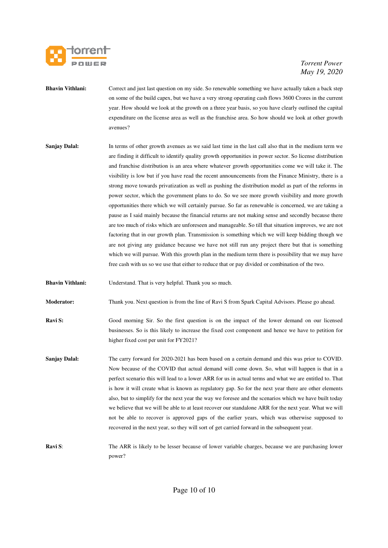

- **Bhavin Vithlani:** Correct and just last question on my side. So renewable something we have actually taken a back step on some of the build capex, but we have a very strong operating cash flows 3600 Crores in the current year. How should we look at the growth on a three year basis, so you have clearly outlined the capital expenditure on the license area as well as the franchise area. So how should we look at other growth avenues?
- **Sanjay Dalal:** In terms of other growth avenues as we said last time in the last call also that in the medium term we are finding it difficult to identify quality growth opportunities in power sector. So license distribution and franchise distribution is an area where whatever growth opportunities come we will take it. The visibility is low but if you have read the recent announcements from the Finance Ministry, there is a strong move towards privatization as well as pushing the distribution model as part of the reforms in power sector, which the government plans to do. So we see more growth visibility and more growth opportunities there which we will certainly pursue. So far as renewable is concerned, we are taking a pause as I said mainly because the financial returns are not making sense and secondly because there are too much of risks which are unforeseen and manageable. So till that situation improves, we are not factoring that in our growth plan. Transmission is something which we will keep bidding though we are not giving any guidance because we have not still run any project there but that is something which we will pursue. With this growth plan in the medium term there is possibility that we may have free cash with us so we use that either to reduce that or pay divided or combination of the two.
- **Bhavin Vithlani:** Understand. That is very helpful. Thank you so much.
- **Moderator:** Thank you. Next question is from the line of Ravi S from Spark Capital Advisors. Please go ahead.
- **Ravi S:** Good morning Sir. So the first question is on the impact of the lower demand on our licensed businesses. So is this likely to increase the fixed cost component and hence we have to petition for higher fixed cost per unit for FY2021?
- **Sanjay Dalal:** The carry forward for 2020-2021 has been based on a certain demand and this was prior to COVID. Now because of the COVID that actual demand will come down. So, what will happen is that in a perfect scenario this will lead to a lower ARR for us in actual terms and what we are entitled to. That is how it will create what is known as regulatory gap. So for the next year there are other elements also, but to simplify for the next year the way we foresee and the scenarios which we have built today we believe that we will be able to at least recover our standalone ARR for the next year. What we will not be able to recover is approved gaps of the earlier years, which was otherwise supposed to recovered in the next year, so they will sort of get carried forward in the subsequent year.
- **Ravi S:** The ARR is likely to be lesser because of lower variable charges, because we are purchasing lower power?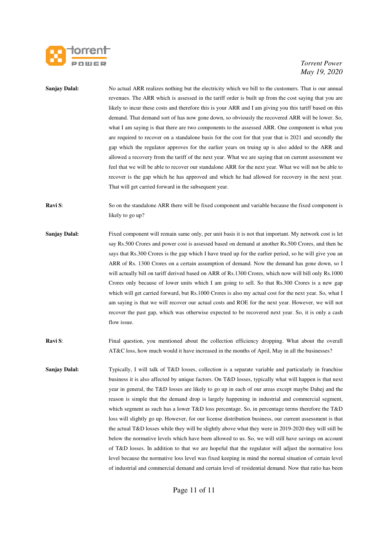

| <b>Sanjay Dalal:</b> | No actual ARR realizes nothing but the electricity which we bill to the customers. That is our annual<br>revenues. The ARR which is assessed in the tariff order is built up from the cost saying that you are |
|----------------------|----------------------------------------------------------------------------------------------------------------------------------------------------------------------------------------------------------------|
|                      | likely to incur these costs and therefore this is your ARR and I am giving you this tariff based on this                                                                                                       |
|                      | demand. That demand sort of has now gone down, so obviously the recovered ARR will be lower. So,                                                                                                               |
|                      | what I am saying is that there are two components to the assessed ARR. One component is what you                                                                                                               |
|                      | are required to recover on a standalone basis for the cost for that year that is 2021 and secondly the                                                                                                         |
|                      | gap which the regulator approves for the earlier years on truing up is also added to the ARR and                                                                                                               |
|                      | allowed a recovery from the tariff of the next year. What we are saying that on current assessment we                                                                                                          |
|                      | feel that we will be able to recover our standalone ARR for the next year. What we will not be able to                                                                                                         |
|                      |                                                                                                                                                                                                                |
|                      | recover is the gap which he has approved and which he had allowed for recovery in the next year.                                                                                                               |
|                      | That will get carried forward in the subsequent year.                                                                                                                                                          |
| Ravi S:              | So on the standalone ARR there will be fixed component and variable because the fixed component is                                                                                                             |
|                      | likely to go up?                                                                                                                                                                                               |
| <b>Sanjay Dalal:</b> | Fixed component will remain same only, per unit basis it is not that important. My network cost is let                                                                                                         |
|                      | say Rs.500 Crores and power cost is assessed based on demand at another Rs.500 Crores, and then he                                                                                                             |
|                      | says that Rs.300 Crores is the gap which I have trued up for the earlier period, so he will give you an                                                                                                        |
|                      | ARR of Rs. 1300 Crores on a certain assumption of demand. Now the demand has gone down, so I                                                                                                                   |
|                      | will actually bill on tariff derived based on ARR of Rs.1300 Crores, which now will bill only Rs.1000                                                                                                          |
|                      | Crores only because of lower units which I am going to sell. So that Rs.300 Crores is a new gap                                                                                                                |
|                      | which will get carried forward, but Rs.1000 Crores is also my actual cost for the next year. So, what I                                                                                                        |
|                      | am saying is that we will recover our actual costs and ROE for the next year. However, we will not                                                                                                             |
|                      | recover the past gap, which was otherwise expected to be recovered next year. So, it is only a cash                                                                                                            |
|                      | flow issue.                                                                                                                                                                                                    |
| Ravi S:              | Final question, you mentioned about the collection efficiency dropping. What about the overall                                                                                                                 |
|                      | AT&C loss, how much would it have increased in the months of April, May in all the businesses?                                                                                                                 |
| <b>Sanjay Dalal:</b> | Typically, I will talk of T&D losses, collection is a separate variable and particularly in franchise                                                                                                          |
|                      | business it is also affected by unique factors. On T&D losses, typically what will happen is that next                                                                                                         |
|                      | year in general, the T&D losses are likely to go up in each of our areas except maybe Dahej and the                                                                                                            |
|                      | reason is simple that the demand drop is largely happening in industrial and commercial segment,                                                                                                               |
|                      | which segment as such has a lower $T&D$ loss percentage. So, in percentage terms therefore the $T&D$                                                                                                           |
|                      | loss will slightly go up. However, for our license distribution business, our current assessment is that                                                                                                       |
|                      | the actual T&D losses while they will be slightly above what they were in 2019-2020 they will still be                                                                                                         |
|                      | below the normative levels which have been allowed to us. So, we will still have savings on account                                                                                                            |
|                      | of T&D losses. In addition to that we are hopeful that the regulator will adjust the normative loss                                                                                                            |
|                      | level because the normative loss level was fixed keeping in mind the normal situation of certain level                                                                                                         |
|                      | of industrial and commercial demand and certain level of residential demand. Now that ratio has been                                                                                                           |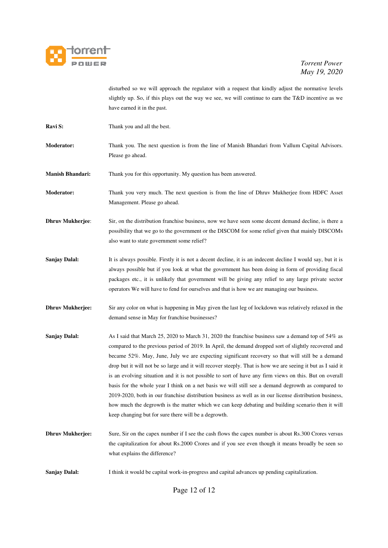

disturbed so we will approach the regulator with a request that kindly adjust the normative levels slightly up. So, if this plays out the way we see, we will continue to earn the T&D incentive as we have earned it in the past.

- **Ravi S:** Thank you and all the best.
- **Moderator:** Thank you. The next question is from the line of Manish Bhandari from Vallum Capital Advisors. Please go ahead.
- **Manish Bhandari:** Thank you for this opportunity. My question has been answered.
- **Moderator:** Thank you very much. The next question is from the line of Dhruv Mukherjee from HDFC Asset Management. Please go ahead.
- **Dhruv Mukherjee:** Sir, on the distribution franchise business, now we have seen some decent demand decline, is there a possibility that we go to the government or the DISCOM for some relief given that mainly DISCOMs also want to state government some relief?
- **Sanjay Dalal:** It is always possible. Firstly it is not a decent decline, it is an indecent decline I would say, but it is always possible but if you look at what the government has been doing in form of providing fiscal packages etc., it is unlikely that government will be giving any relief to any large private sector operators We will have to fend for ourselves and that is how we are managing our business.
- **Dhruv Mukherjee:** Sir any color on what is happening in May given the last leg of lockdown was relatively relaxed in the demand sense in May for franchise businesses?
- **Sanjay Dalal:** As I said that March 25, 2020 to March 31, 2020 the franchise business saw a demand top of 54% as compared to the previous period of 2019. In April, the demand dropped sort of slightly recovered and became 52%. May, June, July we are expecting significant recovery so that will still be a demand drop but it will not be so large and it will recover steeply. That is how we are seeing it but as I said it is an evolving situation and it is not possible to sort of have any firm views on this. But on overall basis for the whole year I think on a net basis we will still see a demand degrowth as compared to 2019-2020, both in our franchise distribution business as well as in our license distribution business, how much the degrowth is the matter which we can keep debating and building scenario then it will keep changing but for sure there will be a degrowth.
- **Dhruv Mukherjee:** Sure, Sir on the capex number if I see the cash flows the capex number is about Rs.300 Crores versus the capitalization for about Rs.2000 Crores and if you see even though it means broadly be seen so what explains the difference?
- **Sanjay Dalal:** I think it would be capital work-in-progress and capital advances up pending capitalization.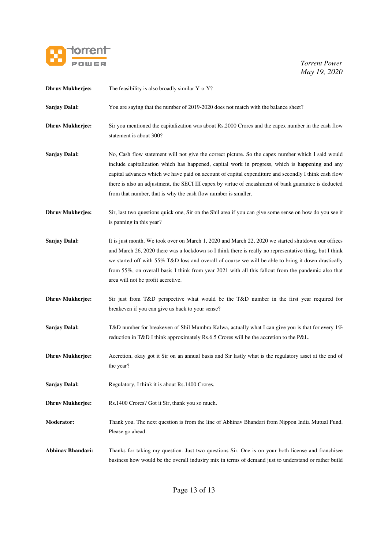

| <b>Dhruv Mukherjee:</b>  | The feasibility is also broadly similar Y-o-Y?                                                                                                                                                                                                                                                                                                                                                                                                                                          |
|--------------------------|-----------------------------------------------------------------------------------------------------------------------------------------------------------------------------------------------------------------------------------------------------------------------------------------------------------------------------------------------------------------------------------------------------------------------------------------------------------------------------------------|
| <b>Sanjay Dalal:</b>     | You are saying that the number of 2019-2020 does not match with the balance sheet?                                                                                                                                                                                                                                                                                                                                                                                                      |
| <b>Dhruv Mukherjee:</b>  | Sir you mentioned the capitalization was about Rs.2000 Crores and the capex number in the cash flow<br>statement is about 300?                                                                                                                                                                                                                                                                                                                                                          |
| <b>Sanjay Dalal:</b>     | No, Cash flow statement will not give the correct picture. So the capex number which I said would<br>include capitalization which has happened, capital work in progress, which is happening and any<br>capital advances which we have paid on account of capital expenditure and secondly I think cash flow<br>there is also an adjustment, the SECI III capex by virtue of encashment of bank guarantee is deducted<br>from that number, that is why the cash flow number is smaller. |
| <b>Dhruv Mukherjee:</b>  | Sir, last two questions quick one, Sir on the Shil area if you can give some sense on how do you see it<br>is panning in this year?                                                                                                                                                                                                                                                                                                                                                     |
| <b>Sanjay Dalal:</b>     | It is just month. We took over on March 1, 2020 and March 22, 2020 we started shutdown our offices<br>and March 26, 2020 there was a lockdown so I think there is really no representative thing, but I think<br>we started off with 55% T&D loss and overall of course we will be able to bring it down drastically<br>from 55%, on overall basis I think from year 2021 with all this fallout from the pandemic also that<br>area will not be profit accretive.                       |
| <b>Dhruv Mukherjee:</b>  | Sir just from T&D perspective what would be the T&D number in the first year required for<br>breakeven if you can give us back to your sense?                                                                                                                                                                                                                                                                                                                                           |
| <b>Sanjay Dalal:</b>     | T&D number for breakeven of Shil Mumbra-Kalwa, actually what I can give you is that for every $1\%$<br>reduction in T&D I think approximately Rs.6.5 Crores will be the accretion to the P&L.                                                                                                                                                                                                                                                                                           |
| <b>Dhruv Mukherjee:</b>  | Accretion, okay got it Sir on an annual basis and Sir lastly what is the regulatory asset at the end of<br>the year?                                                                                                                                                                                                                                                                                                                                                                    |
| <b>Sanjay Dalal:</b>     | Regulatory, I think it is about Rs.1400 Crores.                                                                                                                                                                                                                                                                                                                                                                                                                                         |
| <b>Dhruv Mukherjee:</b>  | Rs.1400 Crores? Got it Sir, thank you so much.                                                                                                                                                                                                                                                                                                                                                                                                                                          |
| <b>Moderator:</b>        | Thank you. The next question is from the line of Abhinav Bhandari from Nippon India Mutual Fund.<br>Please go ahead.                                                                                                                                                                                                                                                                                                                                                                    |
| <b>Abhinav Bhandari:</b> | Thanks for taking my question. Just two questions Sir. One is on your both license and franchisee<br>business how would be the overall industry mix in terms of demand just to understand or rather build                                                                                                                                                                                                                                                                               |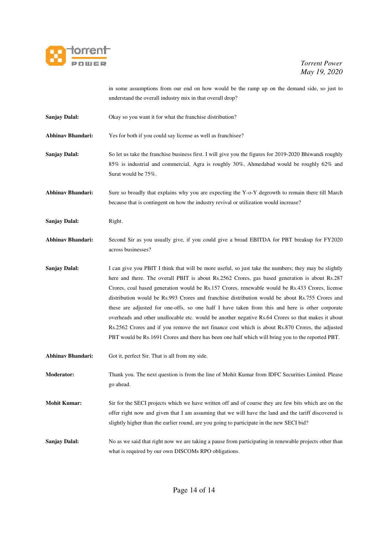

in some assumptions from our end on how would be the ramp up on the demand side, so just to understand the overall industry mix in that overall drop?

- **Sanjay Dalal:** Okay so you want it for what the franchise distribution?
- **Abhinav Bhandari:** Yes for both if you could say license as well as franchisee?
- **Sanjay Dalal:** So let us take the franchise business first. I will give you the figures for 2019-2020 Bhiwandi roughly 85% is industrial and commercial, Agra is roughly 30%, Ahmedabad would be roughly 62% and Surat would be 75%.
- **Abhinav Bhandari:** Sure so broadly that explains why you are expecting the Y-o-Y degrowth to remain there till March because that is contingent on how the industry revival or utilization would increase?
- Sanjay Dalal: Right.
- **Abhinav Bhandari:** Second Sir as you usually give, if you could give a broad EBITDA for PBT breakup for FY2020 across businesses?
- **Sanjay Dalal:** I can give you PBIT I think that will be more useful, so just take the numbers; they may be slightly here and there. The overall PBIT is about Rs.2562 Crores, gas based generation is about Rs.287 Crores, coal based generation would be Rs.157 Crores, renewable would be Rs.433 Crores, license distribution would be Rs.993 Crores and franchise distribution would be about Rs.755 Crores and these are adjusted for one-offs, so one half I have taken from this and here is other corporate overheads and other unallocable etc. would be another negative Rs.64 Crores so that makes it about Rs.2562 Crores and if you remove the net finance cost which is about Rs.870 Crores, the adjusted PBT would be Rs.1691 Crores and there has been one half which will bring you to the reported PBT.
- Abhinav Bhandari: Got it, perfect Sir. That is all from my side.
- **Moderator:** Thank you. The next question is from the line of Mohit Kumar from IDFC Securities Limited. Please go ahead.
- **Mohit Kumar:** Sir for the SECI projects which we have written off and of course they are few bits which are on the offer right now and given that I am assuming that we will have the land and the tariff discovered is slightly higher than the earlier round, are you going to participate in the new SECI bid?
- **Sanjay Dalal:** No as we said that right now we are taking a pause from participating in renewable projects other than what is required by our own DISCOMs RPO obligations.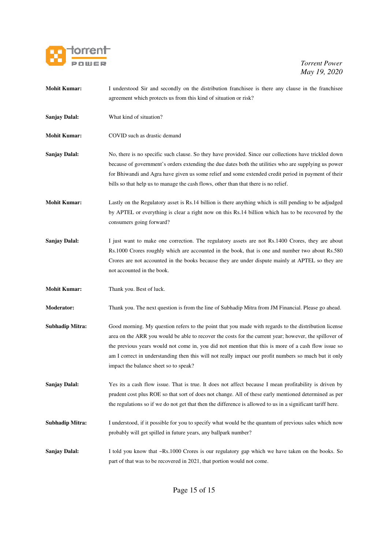

- **Mohit Kumar:** I understood Sir and secondly on the distribution franchisee is there any clause in the franchisee agreement which protects us from this kind of situation or risk?
- **Sanjay Dalal:** What kind of situation?
- **Mohit Kumar:** COVID such as drastic demand
- **Sanjay Dalal:** No, there is no specific such clause. So they have provided. Since our collections have trickled down because of government's orders extending the due dates both the utilities who are supplying us power for Bhiwandi and Agra have given us some relief and some extended credit period in payment of their bills so that help us to manage the cash flows, other than that there is no relief.
- **Mohit Kumar:** Lastly on the Regulatory asset is Rs.14 billion is there anything which is still pending to be adjudged by APTEL or everything is clear a right now on this Rs.14 billion which has to be recovered by the consumers going forward?
- **Sanjay Dalal:** I just want to make one correction. The regulatory assets are not Rs.1400 Crores, they are about Rs.1000 Crores roughly which are accounted in the book, that is one and number two about Rs.580 Crores are not accounted in the books because they are under dispute mainly at APTEL so they are not accounted in the book.
- **Mohit Kumar:** Thank you. Best of luck.
- **Moderator:** Thank you. The next question is from the line of Subhadip Mitra from JM Financial. Please go ahead.
- **Subhadip Mitra:** Good morning. My question refers to the point that you made with regards to the distribution license area on the ARR you would be able to recover the costs for the current year; however, the spillover of the previous years would not come in, you did not mention that this is more of a cash flow issue so am I correct in understanding then this will not really impact our profit numbers so much but it only impact the balance sheet so to speak?

**Sanjay Dalal:** Yes its a cash flow issue. That is true. It does not affect because I mean profitability is driven by prudent cost plus ROE so that sort of does not change. All of these early mentioned determined as per the regulations so if we do not get that then the difference is allowed to us in a significant tariff here.

- **Subhadip Mitra:** I understood, if it possible for you to specify what would be the quantum of previous sales which now probably will get spilled in future years, any ballpark number?
- **Sanjay Dalal:** I told you know that ~Rs.1000 Crores is our regulatory gap which we have taken on the books. So part of that was to be recovered in 2021, that portion would not come.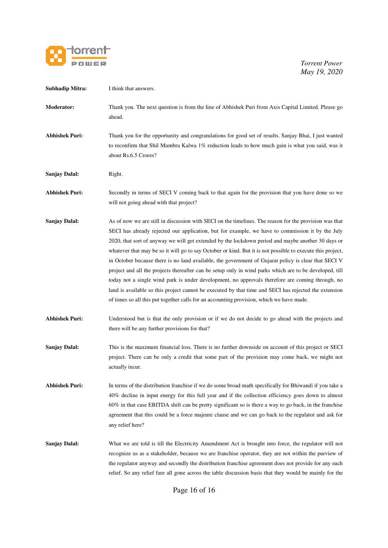

| <b>Subhadip Mitra:</b> | I think that answers.                                                                                                                                                                                                                                                                                                                                                                                                                                                                                                                                                                                                                                                                                                                                                                                                                                                                                                                                      |
|------------------------|------------------------------------------------------------------------------------------------------------------------------------------------------------------------------------------------------------------------------------------------------------------------------------------------------------------------------------------------------------------------------------------------------------------------------------------------------------------------------------------------------------------------------------------------------------------------------------------------------------------------------------------------------------------------------------------------------------------------------------------------------------------------------------------------------------------------------------------------------------------------------------------------------------------------------------------------------------|
| <b>Moderator:</b>      | Thank you. The next question is from the line of Abhishek Puri from Axis Capital Limited. Please go<br>ahead.                                                                                                                                                                                                                                                                                                                                                                                                                                                                                                                                                                                                                                                                                                                                                                                                                                              |
| <b>Abhishek Puri:</b>  | Thank you for the opportunity and congratulations for good set of results. Sanjay Bhai, I just wanted<br>to reconfirm that Shil Mumbra Kalwa 1% reduction leads to how much gain is what you said, was it<br>about Rs.6.5 Crores?                                                                                                                                                                                                                                                                                                                                                                                                                                                                                                                                                                                                                                                                                                                          |
| <b>Sanjay Dalal:</b>   | Right.                                                                                                                                                                                                                                                                                                                                                                                                                                                                                                                                                                                                                                                                                                                                                                                                                                                                                                                                                     |
| <b>Abhishek Puri:</b>  | Secondly in terms of SECI V coming back to that again for the provision that you have done so we<br>will not going ahead with that project?                                                                                                                                                                                                                                                                                                                                                                                                                                                                                                                                                                                                                                                                                                                                                                                                                |
| <b>Sanjay Dalal:</b>   | As of now we are still in discussion with SECI on the timelines. The reason for the provision was that<br>SECI has already rejected our application, but for example, we have to commission it by the July<br>2020, that sort of anyway we will get extended by the lockdown period and maybe another 30 days or<br>whatever that may be so it will go to say October or kind. But it is not possible to execute this project,<br>in October because there is no land available, the government of Gujarat policy is clear that SECI V<br>project and all the projects thereafter can be setup only in wind parks which are to be developed, till<br>today not a single wind park is under development, no approvals therefore are coming through, no<br>land is available so this project cannot be executed by that time and SECI has rejected the extension<br>of times so all this put together calls for an accounting provision, which we have made. |
| <b>Abhishek Puri:</b>  | Understood but is that the only provision or if we do not decide to go ahead with the projects and<br>there will be any further provisions for that?                                                                                                                                                                                                                                                                                                                                                                                                                                                                                                                                                                                                                                                                                                                                                                                                       |
| <b>Sanjay Dalal:</b>   | This is the maximum financial loss. There is no further downside on account of this project or SECI<br>project. There can be only a credit that some part of the provision may come back, we might not<br>actually incur.                                                                                                                                                                                                                                                                                                                                                                                                                                                                                                                                                                                                                                                                                                                                  |
| <b>Abhishek Puri:</b>  | In terms of the distribution franchise if we do some broad math specifically for Bhiwandi if you take a<br>40% decline in input energy for this full year and if the collection efficiency goes down to almost<br>60% in that case EBITDA shift can be pretty significant so is there a way to go back, in the franchise<br>agreement that this could be a force majeure clause and we can go back to the regulator and ask for<br>any relief here?                                                                                                                                                                                                                                                                                                                                                                                                                                                                                                        |
| <b>Sanjay Dalal:</b>   | What we are told is till the Electricity Amendment Act is brought into force, the regulator will not<br>recognize us as a stakeholder, because we are franchise operator, they are not within the purview of<br>the regulator anyway and secondly the distribution franchise agreement does not provide for any such<br>relief. So any relief fare all gone across the table discussion basis that they would be mainly for the                                                                                                                                                                                                                                                                                                                                                                                                                                                                                                                            |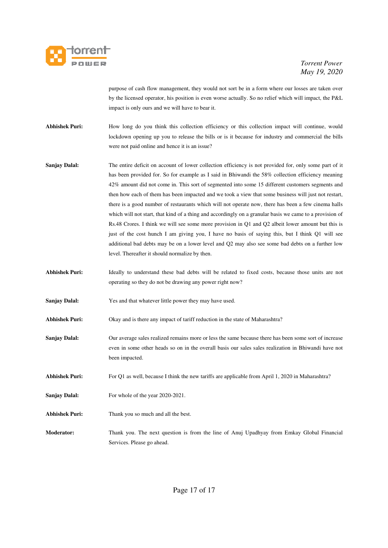

purpose of cash flow management, they would not sort be in a form where our losses are taken over by the licensed operator, his position is even worse actually. So no relief which will impact, the P&L impact is only ours and we will have to bear it.

Abhishek Puri: **How long do you think this collection efficiency or this collection impact will continue, would** lockdown opening up you to release the bills or is it because for industry and commercial the bills were not paid online and hence it is an issue?

- **Sanjay Dalal:** The entire deficit on account of lower collection efficiency is not provided for, only some part of it has been provided for. So for example as I said in Bhiwandi the 58% collection efficiency meaning 42% amount did not come in. This sort of segmented into some 15 different customers segments and then how each of them has been impacted and we took a view that some business will just not restart, there is a good number of restaurants which will not operate now, there has been a few cinema halls which will not start, that kind of a thing and accordingly on a granular basis we came to a provision of Rs.48 Crores. I think we will see some more provision in Q1 and Q2 albeit lower amount but this is just of the cost hunch I am giving you, I have no basis of saying this, but I think Q1 will see additional bad debts may be on a lower level and Q2 may also see some bad debts on a further low level. Thereafter it should normalize by then.
- **Abhishek Puri:** Ideally to understand these bad debts will be related to fixed costs, because those units are not operating so they do not be drawing any power right now?
- **Sanjay Dalal:** Yes and that whatever little power they may have used.
- **Abhishek Puri:** Okay and is there any impact of tariff reduction in the state of Maharashtra?
- **Sanjay Dalal:** Our average sales realized remains more or less the same because there has been some sort of increase even in some other heads so on in the overall basis our sales sales realization in Bhiwandi have not been impacted.
- **Abhishek Puri:** For Q1 as well, because I think the new tariffs are applicable from April 1, 2020 in Maharashtra?
- **Sanjay Dalal:** For whole of the year 2020-2021.
- Abhishek Puri: Thank you so much and all the best.
- **Moderator:** Thank you. The next question is from the line of Anuj Upadhyay from Emkay Global Financial Services. Please go ahead.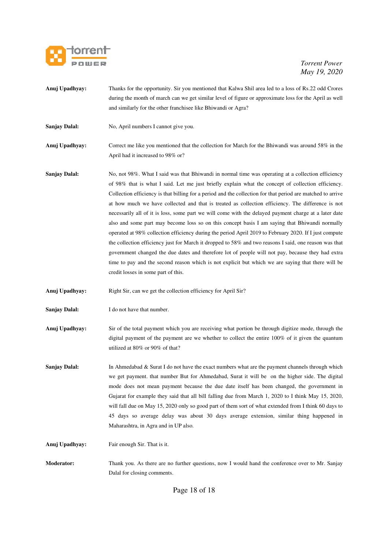

- **Anuj Upadhyay:** Thanks for the opportunity. Sir you mentioned that Kalwa Shil area led to a loss of Rs.22 odd Crores during the month of march can we get similar level of figure or approximate loss for the April as well and similarly for the other franchisee like Bhiwandi or Agra?
- **Sanjay Dalal:** No, April numbers I cannot give you.

**Anuj Upadhyay:** Correct me like you mentioned that the collection for March for the Bhiwandi was around 58% in the April had it increased to 98% or?

- **Sanjay Dalal:** No, not 98%. What I said was that Bhiwandi in normal time was operating at a collection efficiency of 98% that is what I said. Let me just briefly explain what the concept of collection efficiency. Collection efficiency is that billing for a period and the collection for that period are matched to arrive at how much we have collected and that is treated as collection efficiency. The difference is not necessarily all of it is loss, some part we will come with the delayed payment charge at a later date also and some part may become loss so on this concept basis I am saying that Bhiwandi normally operated at 98% collection efficiency during the period April 2019 to February 2020. If I just compute the collection efficiency just for March it dropped to 58% and two reasons I said, one reason was that government changed the due dates and therefore lot of people will not pay, because they had extra time to pay and the second reason which is not explicit but which we are saying that there will be credit losses in some part of this.
- Anuj Upadhyay: Right Sir, can we get the collection efficiency for April Sir?
- **Sanjay Dalal:** I do not have that number.
- **Anuj Upadhyay:** Sir of the total payment which you are receiving what portion be through digitize mode, through the digital payment of the payment are we whether to collect the entire 100% of it given the quantum utilized at 80% or 90% of that?
- **Sanjay Dalal:** In Ahmedabad & Surat I do not have the exact numbers what are the payment channels through which we get payment. that number But for Ahmedabad, Surat it will be on the higher side. The digital mode does not mean payment because the due date itself has been changed, the government in Gujarat for example they said that all bill falling due from March 1, 2020 to I think May 15, 2020, will fall due on May 15, 2020 only so good part of them sort of what extended from I think 60 days to 45 days so average delay was about 30 days average extension, similar thing happened in Maharashtra, in Agra and in UP also.

**Anuj Upadhyay:** Fair enough Sir. That is it.

**Moderator:** Thank you. As there are no further questions, now I would hand the conference over to Mr. Sanjay Dalal for closing comments.